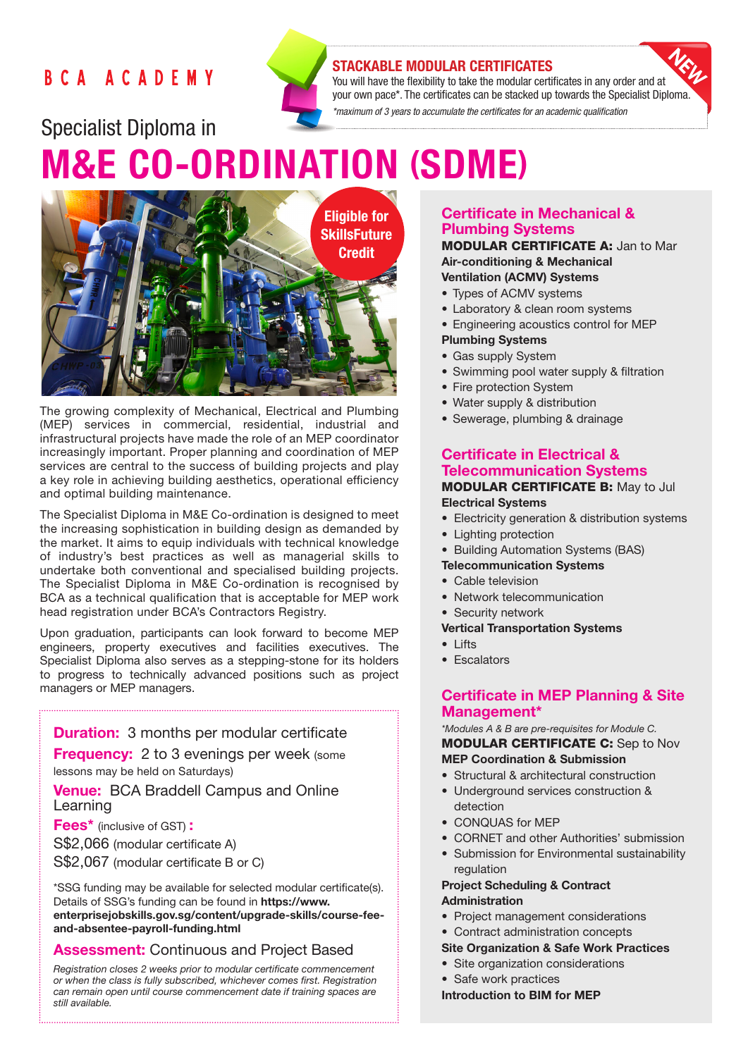## BCA ACADEMY



## STACKABLE MODULAR CERTIFICATES

You will have the flexibility to take the modular certificates in any order and at your own pace\*. The certificates can be stacked up towards the Specialist Diploma.

*\*maximum of 3 years to accumulate the certificates for an academic qualification* 

# Specialist Diploma in M&E CO-ORDINATION (SDME)



The growing complexity of Mechanical, Electrical and Plumbing (MEP) services in commercial, residential, industrial and infrastructural projects have made the role of an MEP coordinator increasingly important. Proper planning and coordination of MEP services are central to the success of building projects and play a key role in achieving building aesthetics, operational efficiency and optimal building maintenance.

The Specialist Diploma in M&E Co-ordination is designed to meet the increasing sophistication in building design as demanded by the market. It aims to equip individuals with technical knowledge of industry's best practices as well as managerial skills to undertake both conventional and specialised building projects. The Specialist Diploma in M&E Co-ordination is recognised by BCA as a technical qualification that is acceptable for MEP work head registration under BCA's Contractors Registry.

Upon graduation, participants can look forward to become MEP engineers, property executives and facilities executives. The Specialist Diploma also serves as a stepping-stone for its holders to progress to technically advanced positions such as project managers or MEP managers.

**Duration:** 3 months per modular certificate

**Frequency:** 2 to 3 evenings per week (some lessons may be held on Saturdays)

**Venue: BCA Braddell Campus and Online** Learning

Fees\* (inclusive of GST) :

S\$2,066 (modular certificate A)

S\$2,067 (modular certificate B or C)

\*SSG funding may be available for selected modular certificate(s). Details of SSG's funding can be found in https://www. enterprisejobskills.gov.sg/content/upgrade-skills/course-feeand-absentee-payroll-funding.html

## **Assessment: Continuous and Project Based**

*Registration closes 2 weeks prior to modular certificate commencement or when the class is fully subscribed, whichever comes first. Registration can remain open until course commencement date if training spaces are still available.*

Certificate in Mechanical & Plumbing Systems

MODULAR CERTIFICATE A: Jan to Mar Air-conditioning & Mechanical Ventilation (ACMV) Systems

- Types of ACMV systems
- Laboratory & clean room systems
- Engineering acoustics control for MEP Plumbing Systems
- Gas supply System
- Swimming pool water supply & filtration
- Fire protection System
- Water supply & distribution
- Sewerage, plumbing & drainage

#### Certificate in Electrical & Telecommunication Systems MODULAR CERTIFICATE B: May to Jul

## Electrical Systems

- Electricity generation & distribution systems
- Lighting protection
- Building Automation Systems (BAS)
- Telecommunication Systems
- Cable television
- Network telecommunication
- Security network

#### Vertical Transportation Systems

- Lifts
- Escalators

### Certificate in MEP Planning & Site Management\*

*\*Modules A & B are pre-requisites for Module C.*

MODULAR CERTIFICATE C: Sep to Nov MEP Coordination & Submission

- Structural & architectural construction
- Underground services construction & detection
- CONQUAS for MEP
- CORNET and other Authorities' submission
- Submission for Environmental sustainability regulation

#### Project Scheduling & Contract Administration

- Project management considerations
- Contract administration concepts

#### Site Organization & Safe Work Practices

- Site organization considerations
- Safe work practices

Introduction to BIM for MEP